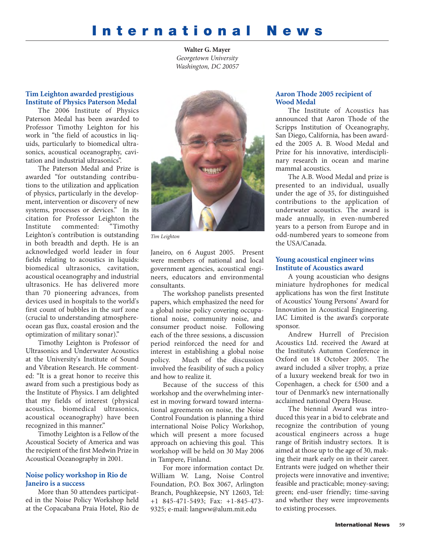# **International News**

**Walter G. Mayer** *Georgetown University Washington, DC 20057*

## **Tim Leighton awarded prestigious Institute of Physics Paterson Medal**

The 2006 Institute of Physics Paterson Medal has been awarded to Professor Timothy Leighton for his work in "the field of acoustics in liquids, particularly to biomedical ultrasonics, acoustical oceanography, cavitation and industrial ultrasonics".

The Paterson Medal and Prize is awarded "for outstanding contributions to the utilization and application of physics, particularly in the development, intervention or discovery of new systems, processes or devices." In its citation for Professor Leighton the Institute commented: "Timothy Leighton's contribution is outstanding in both breadth and depth. He is an acknowledged world leader in four fields relating to acoustics in liquids: biomedical ultrasonics, cavitation, acoustical oceanography and industrial ultrasonics. He has delivered more than 70 pioneering advances, from devices used in hospitals to the world's first count of bubbles in the surf zone (crucial to understanding atmosphereocean gas flux, coastal erosion and the optimization of military sonar)."

Timothy Leighton is Professor of Ultrasonics and Underwater Acoustics at the University's Institute of Sound and Vibration Research. He commented: "It is a great honor to receive this award from such a prestigious body as the Institute of Physics. I am delighted that my fields of interest (physical acoustics, biomedical ultrasonics, acoustical oceanography) have been recognized in this manner."

Timothy Leighton is a Fellow of the Acoustical Society of America and was the recipient of the first Medwin Prize in Acoustical Oceanography in 2001.

## **Noise policy workshop in Rio de Janeiro is a success**

More than 50 attendees participated in the Noise Policy Workshop held at the Copacabana Praia Hotel, Rio de



*Tim Leighton*

Janeiro, on 6 August 2005. Present were members of national and local government agencies, acoustical engineers, educators and environmental consultants.

The workshop panelists presented papers, which emphasized the need for a global noise policy covering occupational noise, community noise, and consumer product noise. Following each of the three sessions, a discussion period reinforced the need for and interest in establishing a global noise policy. Much of the discussion involved the feasibility of such a policy and how to realize it.

Because of the success of this workshop and the overwhelming interest in moving forward toward international agreements on noise, the Noise Control Foundation is planning a third international Noise Policy Workshop, which will present a more focused approach on achieving this goal. This workshop will be held on 30 May 2006 in Tampere, Finland.

For more information contact Dr. William W. Lang, Noise Control Foundation, P.O. Box 3067, Arlington Branch, Poughkeepsie, NY 12603, Tel: +1 845-471-5493; Fax: +1-845-473- 9325; e-mail: langww@alum.mit.edu

## **Aaron Thode 2005 recipient of Wood Medal**

The Institute of Acoustics has announced that Aaron Thode of the Scripps Institution of Oceanography, San Diego, California, has been awarded the 2005 A. B. Wood Medal and Prize for his innovative, interdisciplinary research in ocean and marine mammal acoustics.

The A.B. Wood Medal and prize is presented to an individual, usually under the age of 35, for distinguished contributions to the application of underwater acoustics. The award is made annually, in even-numbered years to a person from Europe and in odd-numbered years to someone from the USA/Canada.

#### **Young acoustical engineer wins Institute of Acoustics award**

A young acoustician who designs miniature hydrophones for medical applications has won the first Institute of Acoustics' Young Persons' Award for Innovation in Acoustical Engineering. IAC Limited is the award's corporate sponsor.

Andrew Hurrell of Precision Acoustics Ltd. received the Award at the Institute's Autumn Conference in Oxford on 18 October 2005. The award included a silver trophy, a prize of a luxury weekend break for two in Copenhagen, a check for £500 and a tour of Denmark's new internationally acclaimed national Opera House.

The biennial Award was introduced this year in a bid to celebrate and recognize the contribution of young acoustical engineers across a huge range of British industry sectors. It is aimed at those up to the age of 30, making their mark early on in their career. Entrants were judged on whether their projects were innovative and inventive; feasible and practicable; money-saving; green; end-user friendly; time-saving and whether they were improvements to existing processes.